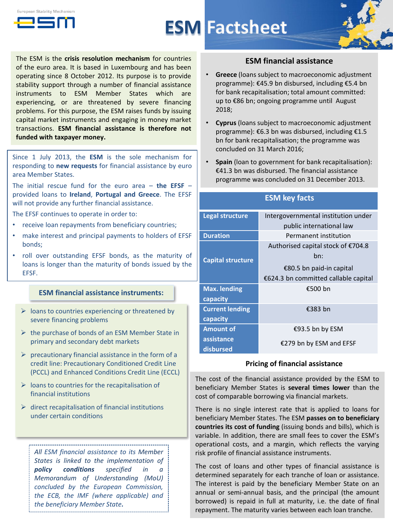



# **ESM Factsheet**



The ESM is the **crisis resolution mechanism** for countries of the euro area. It is based in Luxembourg and has been operating since 8 October 2012. Its purpose is to provide stability support through a number of financial assistance instruments to ESM Member States which are experiencing, or are threatened by severe financing problems. For this purpose, the ESM raises funds by issuing capital market instruments and engaging in money market transactions. **ESM financial assistance is therefore not funded with taxpayer money.**

Since 1 July 2013, the **ESM** is the sole mechanism for responding to **new requests** for financial assistance by euro area Member States.

The initial rescue fund for the euro area – **the EFSF** – provided loans to **Ireland**, **Portugal and Greece**. The EFSF will not provide any further financial assistance.

The EFSF continues to operate in order to:

- receive loan repayments from beneficiary countries;
- make interest and principal payments to holders of EFSF bonds;
- roll over outstanding EFSF bonds, as the maturity of loans is longer than the maturity of bonds issued by the EFSF.

#### **ESM financial assistance instruments:**

- $\triangleright$  loans to countries experiencing or threatened by severe financing problems
- $\triangleright$  the purchase of bonds of an ESM Member State in primary and secondary debt markets
- $\triangleright$  precautionary financial assistance in the form of a credit line: Precautionary Conditioned Credit Line (PCCL) and Enhanced Conditions Credit Line (ECCL)
- $\triangleright$  loans to countries for the recapitalisation of financial institutions
- $\triangleright$  direct recapitalisation of financial institutions under certain conditions

*All ESM financial assistance to its Member States is linked to the implementation of policy conditions specified in a Memorandum of Understanding (MoU) concluded by the European Commission, the ECB, the IMF (where applicable) and the beneficiary Member State.*

## **ESM financial assistance**

- **Greece** (loans subject to macroeconomic adjustment programme): €45.9 bn disbursed, including €5.4 bn for bank recapitalisation; total amount committed: up to €86 bn; ongoing programme until August 2018;
- **Cyprus** (loans subject to macroeconomic adjustment programme): €6.3 bn was disbursed, including €1.5 bn for bank recapitalisation; the programme was concluded on 31 March 2016;
- **Spain** (loan to government for bank recapitalisation): €41.3 bn was disbursed. The financial assistance programme was concluded on 31 December 2013.

| <b>ESM key facts</b>     |                                      |  |  |
|--------------------------|--------------------------------------|--|--|
| <b>Legal structure</b>   | Intergovernmental institution under  |  |  |
|                          | public international law             |  |  |
| <b>Duration</b>          | Permanent institution                |  |  |
| <b>Capital structure</b> | Authorised capital stock of €704.8   |  |  |
|                          | bn:                                  |  |  |
|                          | €80.5 bn paid-in capital             |  |  |
|                          | €624.3 bn committed callable capital |  |  |
| <b>Max. lending</b>      | €500 bn                              |  |  |
| capacity                 |                                      |  |  |
| <b>Current lending</b>   | €383 bn                              |  |  |
| capacity                 |                                      |  |  |
| <b>Amount of</b>         | €93.5 bn by ESM                      |  |  |
| assistance               | €279 bn by ESM and EFSF              |  |  |
| disbursed                |                                      |  |  |

#### **Pricing of financial assistance**

The cost of the financial assistance provided by the ESM to beneficiary Member States is **several times lower** than the cost of comparable borrowing via financial markets.

There is no single interest rate that is applied to loans for beneficiary Member States. The ESM **passes on to beneficiary countries its cost of funding** (issuing bonds and bills), which is variable. In addition, there are small fees to cover the ESM's operational costs, and a margin, which reflects the varying risk profile of financial assistance instruments.

The cost of loans and other types of financial assistance is determined separately for each tranche of loan or assistance. The interest is paid by the beneficiary Member State on an annual or semi-annual basis, and the principal (the amount borrowed) is repaid in full at maturity, i.e. the date of final repayment. The maturity varies between each loan tranche.